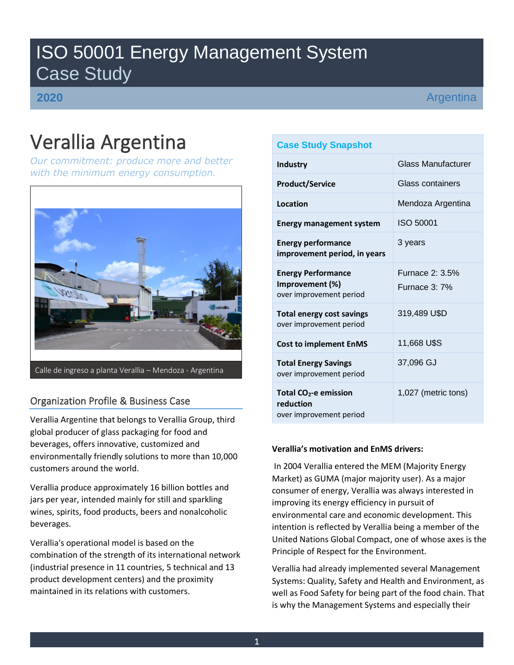# ISO 50001 Energy Management System Case Study

**2020**

Argentina

# Verallia Argentina

*Our commitment: produce more and better with the minimum energy consumption.*



# Organization Profile & Business Case

Verallia Argentine that belongs to Verallia Group, third global producer of glass packaging for food and beverages, offers innovative, customized and environmentally friendly solutions to more than 10,000 customers around the world.

Verallia produce approximately 16 billion bottles and jars per year, intended mainly for still and sparkling wines, spirits, food products, beers and nonalcoholic beverages.

Verallia's operational model is based on the combination of the strength of its international network (industrial presence in 11 countries, 5 technical and 13 product development centers) and the proximity maintained in its relations with customers.

# **Case Study Snapshot**

| Industry                                                                | Glass Manufacturer                      |  |  |  |  |
|-------------------------------------------------------------------------|-----------------------------------------|--|--|--|--|
| <b>Product/Service</b>                                                  | Glass containers                        |  |  |  |  |
| Location                                                                | Mendoza Argentina                       |  |  |  |  |
| <b>Energy management system</b>                                         | ISO 50001                               |  |  |  |  |
| <b>Energy performance</b><br>improvement period, in years               | 3 years                                 |  |  |  |  |
| <b>Energy Performance</b><br>Improvement (%)<br>over improvement period | <b>Furnace 2: 3.5%</b><br>Furnace 3: 7% |  |  |  |  |
| <b>Total energy cost savings</b><br>over improvement period             | 319,489 U\$D                            |  |  |  |  |
| <b>Cost to implement EnMS</b>                                           | 11,668 U\$S                             |  |  |  |  |
| <b>Total Energy Savings</b><br>over improvement period                  | 37,096 GJ                               |  |  |  |  |
| Total $CO2$ -e emission<br>reduction<br>over improvement period         | 1,027 (metric tons)                     |  |  |  |  |

# **Verallia's motivation and EnMS drivers:**

In 2004 Verallia entered the MEM (Majority Energy Market) as GUMA (major majority user). As a major consumer of energy, Verallia was always interested in improving its energy efficiency in pursuit of environmental care and economic development. This intention is reflected by Verallia being a member of the United Nations Global Compact, one of whose axes is the Principle of Respect for the Environment.

Verallia had already implemented several Management Systems: Quality, Safety and Health and Environment, as well as Food Safety for being part of the food chain. That is why the Management Systems and especially their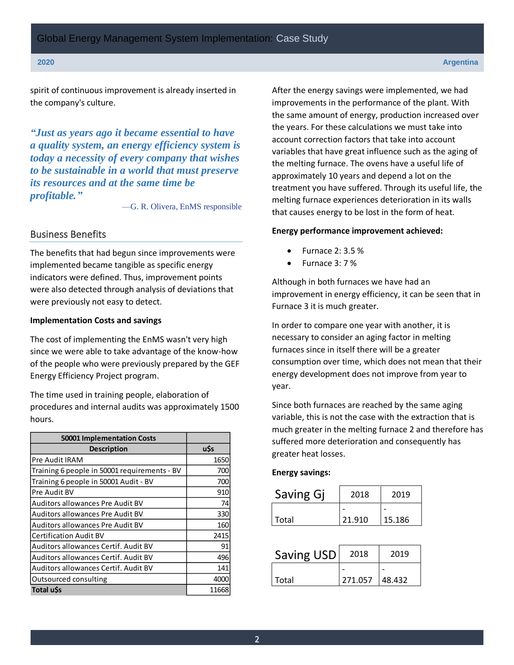spirit of continuous improvement is already inserted in the company's culture.

*"Just as years ago it became essential to have a quality system, an energy efficiency system is today a necessity of every company that wishes to be sustainable in a world that must preserve its resources and at the same time be profitable."*

—G. R. Olivera, EnMS responsible

# Business Benefits

The benefits that had begun since improvements were implemented became tangible as specific energy indicators were defined. Thus, improvement points were also detected through analysis of deviations that were previously not easy to detect.

#### **Implementation Costs and savings**

The cost of implementing the EnMS wasn't very high since we were able to take advantage of the know-how of the people who were previously prepared by the GEF Energy Efficiency Project program.

The time used in training people, elaboration of procedures and internal audits was approximately 1500 hours.

| <b>50001 Implementation Costs</b>            |       |
|----------------------------------------------|-------|
| <b>Description</b>                           | u\$s  |
| Pre Audit IRAM                               | 1650  |
| Training 6 people in 50001 requirements - BV | 700   |
| Training 6 people in 50001 Audit - BV        | 700   |
| Pre Audit BV                                 | 910   |
| <b>Auditors allowances Pre Audit BV</b>      | 74    |
| Auditors allowances Pre Audit BV             | 330   |
| Auditors allowances Pre Audit BV             | 160   |
| <b>Certification Audit BV</b>                | 2415  |
| Auditors allowances Certif. Audit BV         | 91    |
| Auditors allowances Certif. Audit BV         | 496   |
| Auditors allowances Certif. Audit BV         | 141   |
| Outsourced consulting                        | 4000  |
| Total u\$s                                   | 11668 |

After the energy savings were implemented, we had improvements in the performance of the plant. With the same amount of energy, production increased over the years. For these calculations we must take into account correction factors that take into account variables that have great influence such as the aging of the melting furnace. The ovens have a useful life of approximately 10 years and depend a lot on the treatment you have suffered. Through its useful life, the melting furnace experiences deterioration in its walls that causes energy to be lost in the form of heat.

# **Energy performance improvement achieved:**

- Furnace 2: 3.5 %
- Furnace 3: 7 %

Although in both furnaces we have had an improvement in energy efficiency, it can be seen that in Furnace 3 it is much greater.

In order to compare one year with another, it is necessary to consider an aging factor in melting furnaces since in itself there will be a greater consumption over time, which does not mean that their energy development does not improve from year to year.

Since both furnaces are reached by the same aging variable, this is not the case with the extraction that is much greater in the melting furnace 2 and therefore has suffered more deterioration and consequently has greater heat losses.

#### **Energy savings:**

| Saving Gj | 2018   | 2019   |  |  |
|-----------|--------|--------|--|--|
|           |        |        |  |  |
| l Total   | 21.910 | 15.186 |  |  |

| <b>Saving USD</b> | 2018    | 2019   |  |  |
|-------------------|---------|--------|--|--|
|                   |         |        |  |  |
| Total             | 271.057 | 48.432 |  |  |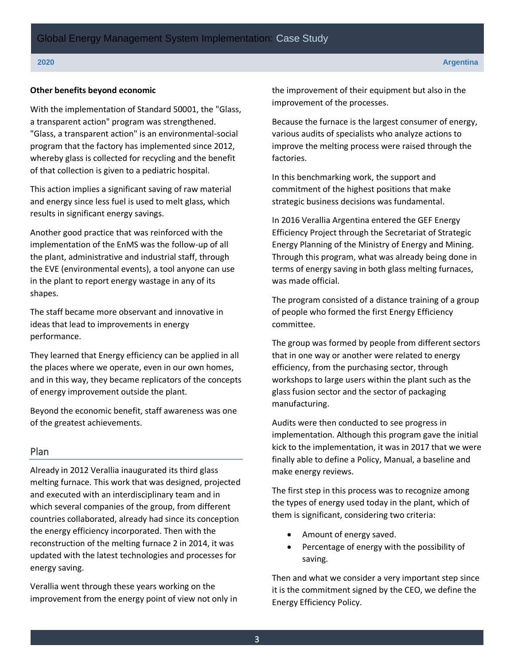### **Other benefits beyond economic**

With the implementation of Standard 50001, the "Glass, a transparent action" program was strengthened. "Glass, a transparent action" is an environmental-social program that the factory has implemented since 2012, whereby glass is collected for recycling and the benefit of that collection is given to a pediatric hospital.

This action implies a significant saving of raw material and energy since less fuel is used to melt glass, which results in significant energy savings.

Another good practice that was reinforced with the implementation of the EnMS was the follow-up of all the plant, administrative and industrial staff, through the EVE (environmental events), a tool anyone can use in the plant to report energy wastage in any of its shapes.

The staff became more observant and innovative in ideas that lead to improvements in energy performance.

They learned that Energy efficiency can be applied in all the places where we operate, even in our own homes, and in this way, they became replicators of the concepts of energy improvement outside the plant.

Beyond the economic benefit, staff awareness was one of the greatest achievements.

# Plan

Already in 2012 Verallia inaugurated its third glass melting furnace. This work that was designed, projected and executed with an interdisciplinary team and in which several companies of the group, from different countries collaborated, already had since its conception the energy efficiency incorporated. Then with the reconstruction of the melting furnace 2 in 2014, it was updated with the latest technologies and processes for energy saving.

Verallia went through these years working on the improvement from the energy point of view not only in the improvement of their equipment but also in the improvement of the processes.

Because the furnace is the largest consumer of energy, various audits of specialists who analyze actions to improve the melting process were raised through the factories.

In this benchmarking work, the support and commitment of the highest positions that make strategic business decisions was fundamental.

In 2016 Verallia Argentina entered the GEF Energy Efficiency Project through the Secretariat of Strategic Energy Planning of the Ministry of Energy and Mining. Through this program, what was already being done in terms of energy saving in both glass melting furnaces, was made official.

The program consisted of a distance training of a group of people who formed the first Energy Efficiency committee.

The group was formed by people from different sectors that in one way or another were related to energy efficiency, from the purchasing sector, through workshops to large users within the plant such as the glass fusion sector and the sector of packaging manufacturing.

Audits were then conducted to see progress in implementation. Although this program gave the initial kick to the implementation, it was in 2017 that we were finally able to define a Policy, Manual, a baseline and make energy reviews.

The first step in this process was to recognize among the types of energy used today in the plant, which of them is significant, considering two criteria:

- Amount of energy saved.
- Percentage of energy with the possibility of saving.

Then and what we consider a very important step since it is the commitment signed by the CEO, we define the Energy Efficiency Policy.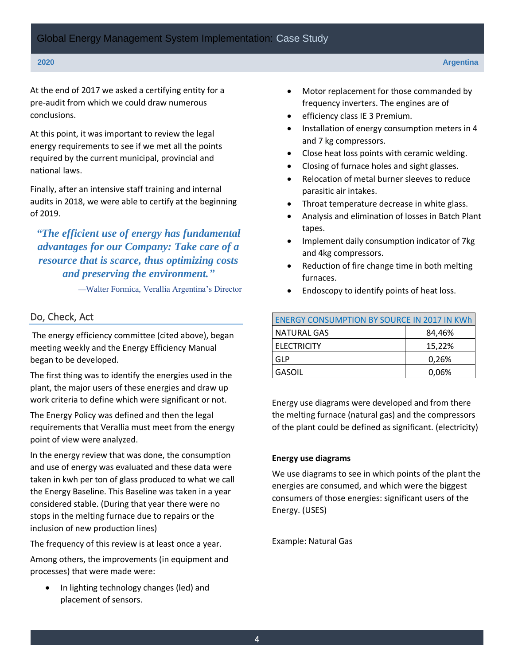At the end of 2017 we asked a certifying entity for a pre-audit from which we could draw numerous conclusions.

At this point, it was important to review the legal energy requirements to see if we met all the points required by the current municipal, provincial and national laws.

Finally, after an intensive staff training and internal audits in 2018, we were able to certify at the beginning of 2019.

# *"The efficient use of energy has fundamental advantages for our Company: Take care of a resource that is scarce, thus optimizing costs and preserving the environment."*

—Walter Formica, Verallia Argentina's Director

# Do, Check, Act

The energy efficiency committee (cited above), began meeting weekly and the Energy Efficiency Manual began to be developed.

The first thing was to identify the energies used in the plant, the major users of these energies and draw up work criteria to define which were significant or not.

The Energy Policy was defined and then the legal requirements that Verallia must meet from the energy point of view were analyzed.

In the energy review that was done, the consumption and use of energy was evaluated and these data were taken in kwh per ton of glass produced to what we call the Energy Baseline. This Baseline was taken in a year considered stable. (During that year there were no stops in the melting furnace due to repairs or the inclusion of new production lines)

The frequency of this review is at least once a year.

Among others, the improvements (in equipment and processes) that were made were:

• In lighting technology changes (led) and placement of sensors.

- Motor replacement for those commanded by frequency inverters. The engines are of
- efficiency class IE 3 Premium.
- Installation of energy consumption meters in 4 and 7 kg compressors.
- Close heat loss points with ceramic welding.
- Closing of furnace holes and sight glasses.
- Relocation of metal burner sleeves to reduce parasitic air intakes.
- Throat temperature decrease in white glass.
- Analysis and elimination of losses in Batch Plant tapes.
- Implement daily consumption indicator of 7kg and 4kg compressors.
- Reduction of fire change time in both melting furnaces.
- Endoscopy to identify points of heat loss.

| <b>ENERGY CONSUMPTION BY SOURCE IN 2017 IN KWH</b> |        |  |  |  |  |
|----------------------------------------------------|--------|--|--|--|--|
| NATURAL GAS                                        | 84,46% |  |  |  |  |
| <b>ELECTRICITY</b>                                 | 15,22% |  |  |  |  |
| GLP                                                | 0,26%  |  |  |  |  |
| GASOIL                                             | 0,06%  |  |  |  |  |

Energy use diagrams were developed and from there the melting furnace (natural gas) and the compressors of the plant could be defined as significant. (electricity)

# **Energy use diagrams**

We use diagrams to see in which points of the plant the energies are consumed, and which were the biggest consumers of those energies: significant users of the Energy. (USES)

Example: Natural Gas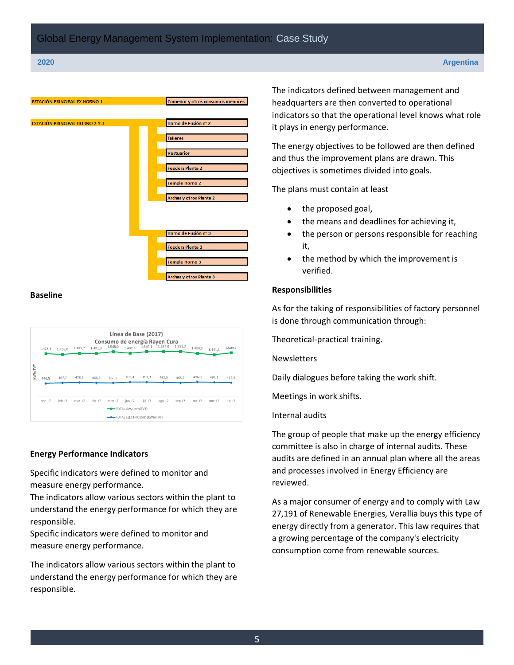

### **Baseline**

|         | Línea de Base (2017)<br>Consumo de energía Rayen Cura<br>1.549,1 1.554,9 1.551,7<br>1.548,0<br>1.497.9<br>1.509.7<br>1.491,3<br>1.493,7<br>1.490,5<br>1.478,4<br>1.459,0<br>1.441.1 |          |          |          |        |                                                                         |           |          |          |          |          |          |
|---------|-------------------------------------------------------------------------------------------------------------------------------------------------------------------------------------|----------|----------|----------|--------|-------------------------------------------------------------------------|-----------|----------|----------|----------|----------|----------|
| kWh/TVT | 446.5                                                                                                                                                                               | 467.7    | 478.5    | 466.5    | 463,9  | 493,4                                                                   | 492,3     | 482.5    | 465.7    | 496,0    | 487,1    | 472,5    |
|         | $ene-17$                                                                                                                                                                            | $feb-17$ | $mar-17$ | $abr-17$ | may-17 | jun-17<br><b>-B-TOTAL GAS (kwh/TVT)</b><br>TOTAL ELECTRICIDAD [kWh/TVT] | $i$ ul-17 | $ago-17$ | $sep-17$ | $oct-17$ | $nov-17$ | $dic-17$ |

# **Energy Performance Indicators**

Specific indicators were defined to monitor and measure energy performance.

The indicators allow various sectors within the plant to understand the energy performance for which they are responsible.

Specific indicators were defined to monitor and measure energy performance.

The indicators allow various sectors within the plant to understand the energy performance for which they are responsible.

The indicators defined between management and headquarters are then converted to operational indicators so that the operational level knows what role it plays in energy performance.

The energy objectives to be followed are then defined and thus the improvement plans are drawn. This objectives is sometimes divided into goals.

The plans must contain at least

- the proposed goal,
- the means and deadlines for achieving it,
- the person or persons responsible for reaching it,
- the method by which the improvement is verified.

#### **Responsibilities**

As for the taking of responsibilities of factory personnel is done through communication through:

Theoretical-practical training.

**Newsletters** 

Daily dialogues before taking the work shift.

Meetings in work shifts.

Internal audits

The group of people that make up the energy efficiency committee is also in charge of internal audits. These audits are defined in an annual plan where all the areas and processes involved in Energy Efficiency are reviewed.

As a major consumer of energy and to comply with Law 27,191 of Renewable Energies, Verallia buys this type of energy directly from a generator. This law requires that a growing percentage of the company's electricity consumption come from renewable sources.